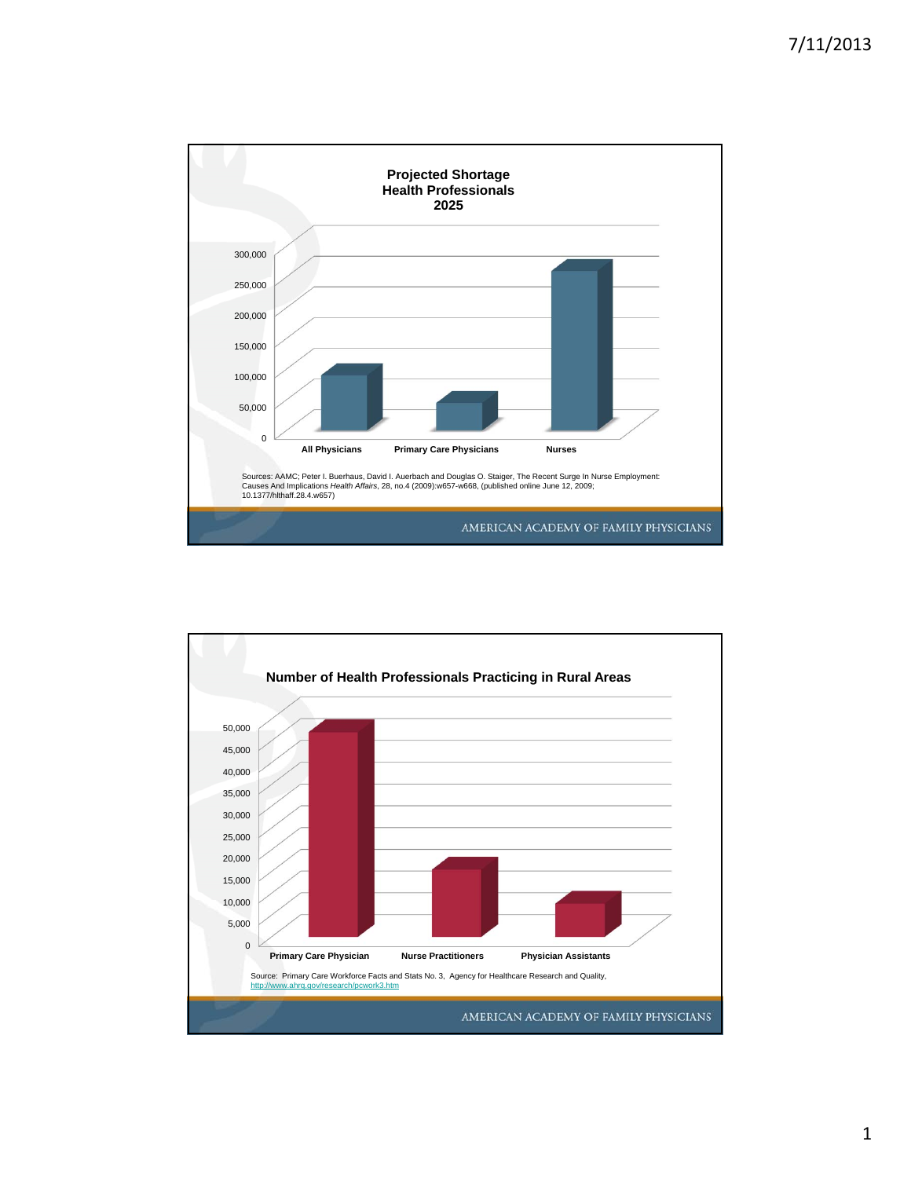